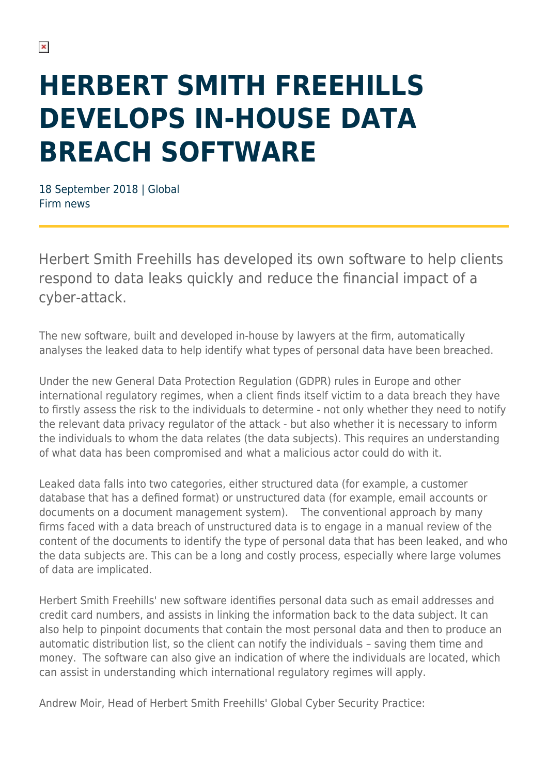# **HERBERT SMITH FREEHILLS DEVELOPS IN-HOUSE DATA BREACH SOFTWARE**

18 September 2018 | Global Firm news

Herbert Smith Freehills has developed its own software to help clients respond to data leaks quickly and reduce the financial impact of a cyber-attack.

The new software, built and developed in-house by lawyers at the firm, automatically analyses the leaked data to help identify what types of personal data have been breached.

Under the new General Data Protection Regulation (GDPR) rules in Europe and other international regulatory regimes, when a client finds itself victim to a data breach they have to firstly assess the risk to the individuals to determine - not only whether they need to notify the relevant data privacy regulator of the attack - but also whether it is necessary to inform the individuals to whom the data relates (the data subjects). This requires an understanding of what data has been compromised and what a malicious actor could do with it.

Leaked data falls into two categories, either structured data (for example, a customer database that has a defined format) or unstructured data (for example, email accounts or documents on a document management system). The conventional approach by many firms faced with a data breach of unstructured data is to engage in a manual review of the content of the documents to identify the type of personal data that has been leaked, and who the data subjects are. This can be a long and costly process, especially where large volumes of data are implicated.

Herbert Smith Freehills' new software identifies personal data such as email addresses and credit card numbers, and assists in linking the information back to the data subject. It can also help to pinpoint documents that contain the most personal data and then to produce an automatic distribution list, so the client can notify the individuals – saving them time and money. The software can also give an indication of where the individuals are located, which can assist in understanding which international regulatory regimes will apply.

Andrew Moir, Head of Herbert Smith Freehills' Global Cyber Security Practice: